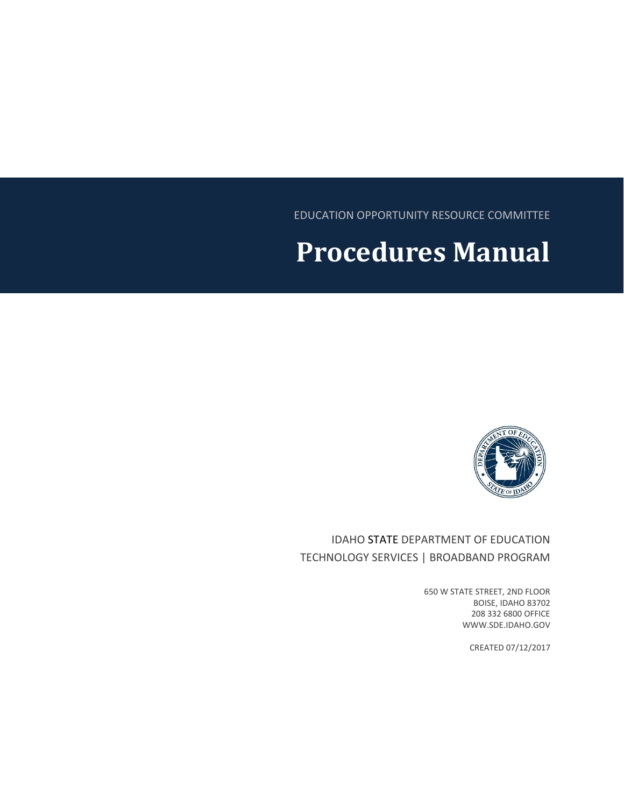EDUCATION OPPORTUNITY RESOURCE COMMITTEE

# **Procedures Manual**



IDAHO STATE DEPARTMENT OF EDUCATION TECHNOLOGY SERVICES | BROADBAND PROGRAM

> 650 W STATE STREET, 2ND FLOOR BOISE, IDAHO 83702 208 332 6800 OFFICE WWW.SDE.IDAHO.GOV

> > CREATED 07/12/2017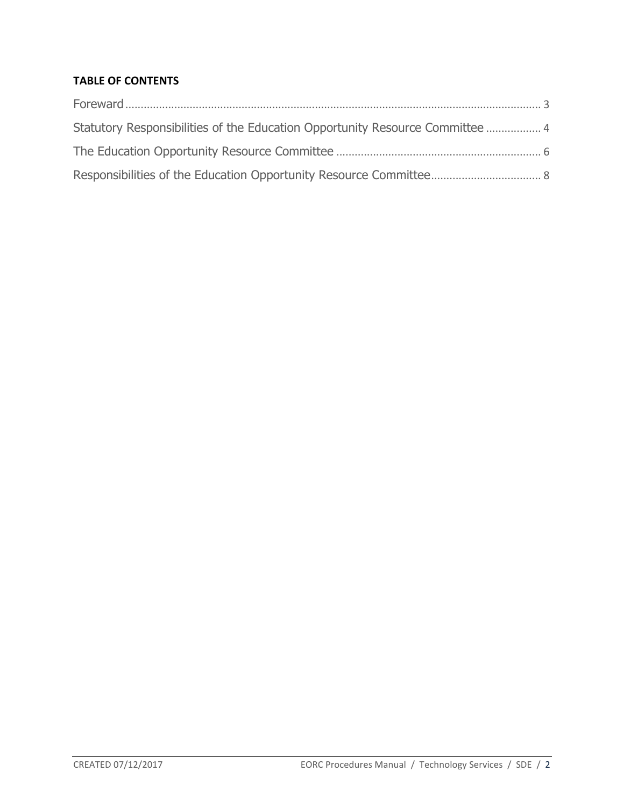#### **TABLE OF CONTENTS**

| Statutory Responsibilities of the Education Opportunity Resource Committee  4 |  |
|-------------------------------------------------------------------------------|--|
|                                                                               |  |
|                                                                               |  |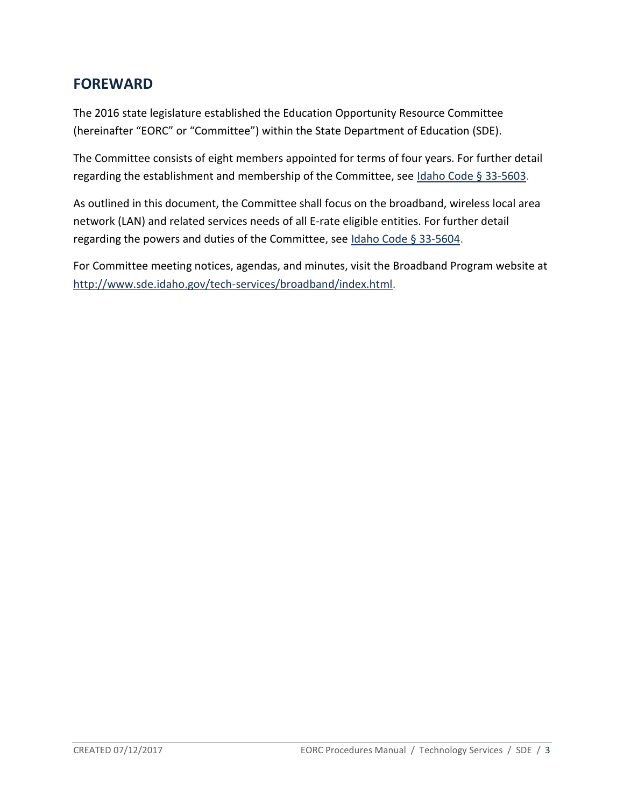### <span id="page-2-0"></span>**FOREWARD**

The 2016 state legislature established the Education Opportunity Resource Committee (hereinafter "EORC" or "Committee") within the State Department of Education (SDE).

The Committee consists of eight members appointed for terms of four years. For further detail regarding the establishment and membership of the Committee, see [Idaho Code §](https://legislature.idaho.gov/statutesrules/idstat/Title33/T33CH56/SECT33-5603/) 33-5603.

As outlined in this document, the Committee shall focus on the broadband, wireless local area network (LAN) and related services needs of all E-rate eligible entities. For further detail regarding the powers and duties of the Committee, see [Idaho Code §](https://legislature.idaho.gov/statutesrules/idstat/Title33/T33CH56/SECT33-5604/) 33-5604.

For Committee meeting notices, agendas, and minutes, visit the Broadband Program website at [http://www.sde.idaho.gov/tech-services/broadband/index.html.](http://www.sde.idaho.gov/tech-services/broadband/index.html)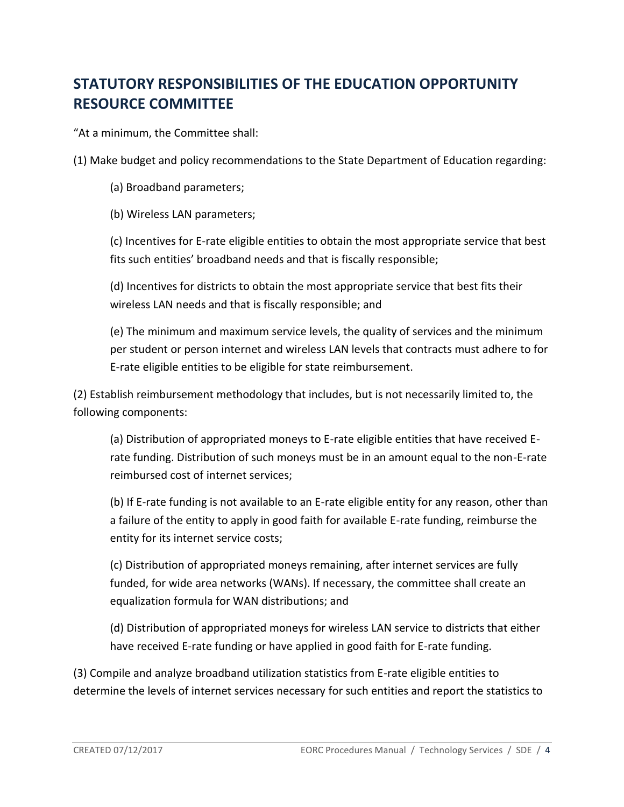## <span id="page-3-0"></span>**STATUTORY RESPONSIBILITIES OF THE EDUCATION OPPORTUNITY RESOURCE COMMITTEE**

"At a minimum, the Committee shall:

(1) Make budget and policy recommendations to the State Department of Education regarding:

- (a) Broadband parameters;
- (b) Wireless LAN parameters;

(c) Incentives for E-rate eligible entities to obtain the most appropriate service that best fits such entities' broadband needs and that is fiscally responsible;

(d) Incentives for districts to obtain the most appropriate service that best fits their wireless LAN needs and that is fiscally responsible; and

(e) The minimum and maximum service levels, the quality of services and the minimum per student or person internet and wireless LAN levels that contracts must adhere to for E-rate eligible entities to be eligible for state reimbursement.

(2) Establish reimbursement methodology that includes, but is not necessarily limited to, the following components:

(a) Distribution of appropriated moneys to E-rate eligible entities that have received Erate funding. Distribution of such moneys must be in an amount equal to the non-E-rate reimbursed cost of internet services;

(b) If E-rate funding is not available to an E-rate eligible entity for any reason, other than a failure of the entity to apply in good faith for available E-rate funding, reimburse the entity for its internet service costs;

(c) Distribution of appropriated moneys remaining, after internet services are fully funded, for wide area networks (WANs). If necessary, the committee shall create an equalization formula for WAN distributions; and

(d) Distribution of appropriated moneys for wireless LAN service to districts that either have received E-rate funding or have applied in good faith for E-rate funding.

(3) Compile and analyze broadband utilization statistics from E-rate eligible entities to determine the levels of internet services necessary for such entities and report the statistics to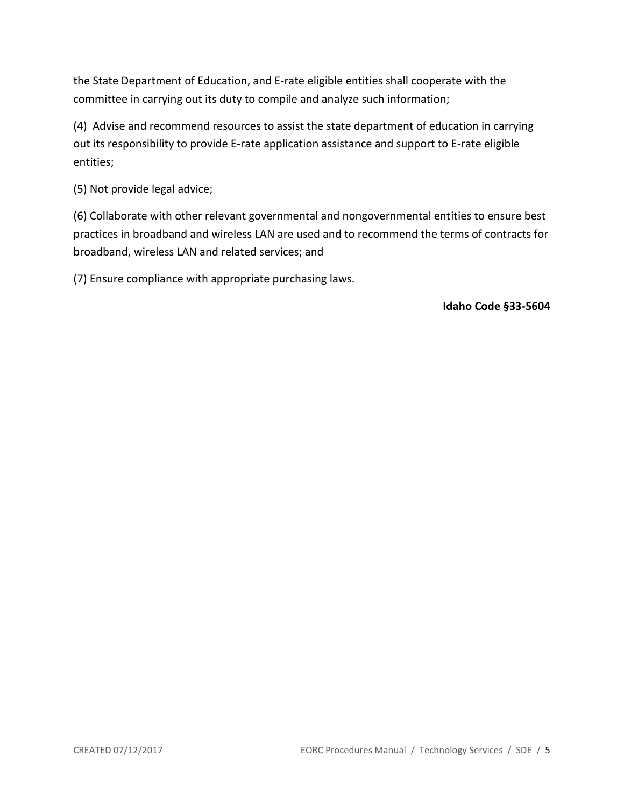the State Department of Education, and E-rate eligible entities shall cooperate with the committee in carrying out its duty to compile and analyze such information;

(4) Advise and recommend resources to assist the state department of education in carrying out its responsibility to provide E-rate application assistance and support to E-rate eligible entities;

(5) Not provide legal advice;

(6) Collaborate with other relevant governmental and nongovernmental entities to ensure best practices in broadband and wireless LAN are used and to recommend the terms of contracts for broadband, wireless LAN and related services; and

(7) Ensure compliance with appropriate purchasing laws.

**Idaho Code §33-5604**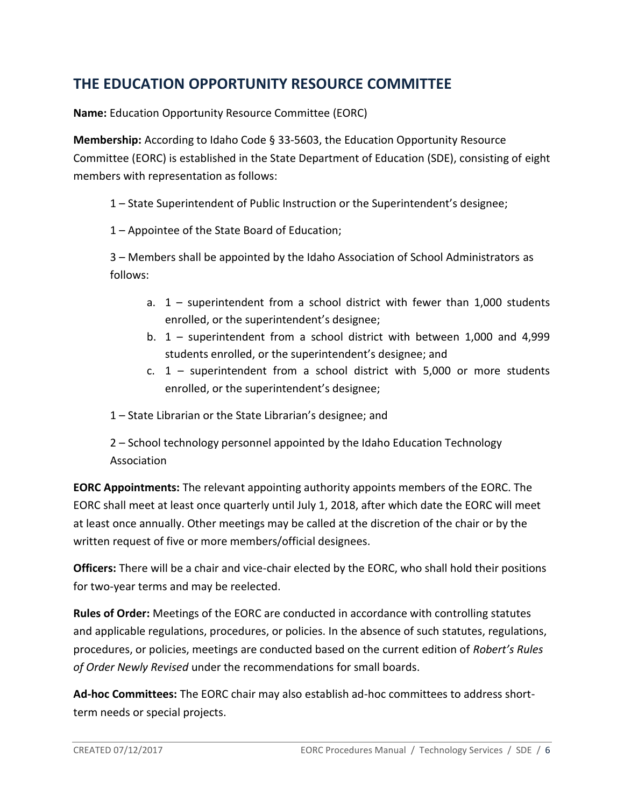## <span id="page-5-0"></span>**THE EDUCATION OPPORTUNITY RESOURCE COMMITTEE**

**Name:** Education Opportunity Resource Committee (EORC)

**Membership:** According to Idaho Code § 33-5603, the Education Opportunity Resource Committee (EORC) is established in the State Department of Education (SDE), consisting of eight members with representation as follows:

1 – State Superintendent of Public Instruction or the Superintendent's designee;

1 – Appointee of the State Board of Education;

3 – Members shall be appointed by the Idaho Association of School Administrators as follows:

- a. 1 superintendent from a school district with fewer than 1,000 students enrolled, or the superintendent's designee;
- b. 1 superintendent from a school district with between 1,000 and 4,999 students enrolled, or the superintendent's designee; and
- c. 1 superintendent from a school district with 5,000 or more students enrolled, or the superintendent's designee;
- 1 State Librarian or the State Librarian's designee; and
- 2 School technology personnel appointed by the Idaho Education Technology Association

**EORC Appointments:** The relevant appointing authority appoints members of the EORC. The EORC shall meet at least once quarterly until July 1, 2018, after which date the EORC will meet at least once annually. Other meetings may be called at the discretion of the chair or by the written request of five or more members/official designees.

**Officers:** There will be a chair and vice-chair elected by the EORC, who shall hold their positions for two-year terms and may be reelected.

**Rules of Order:** Meetings of the EORC are conducted in accordance with controlling statutes and applicable regulations, procedures, or policies. In the absence of such statutes, regulations, procedures, or policies, meetings are conducted based on the current edition of *Robert's Rules of Order Newly Revised* under the recommendations for small boards.

**Ad-hoc Committees:** The EORC chair may also establish ad-hoc committees to address shortterm needs or special projects.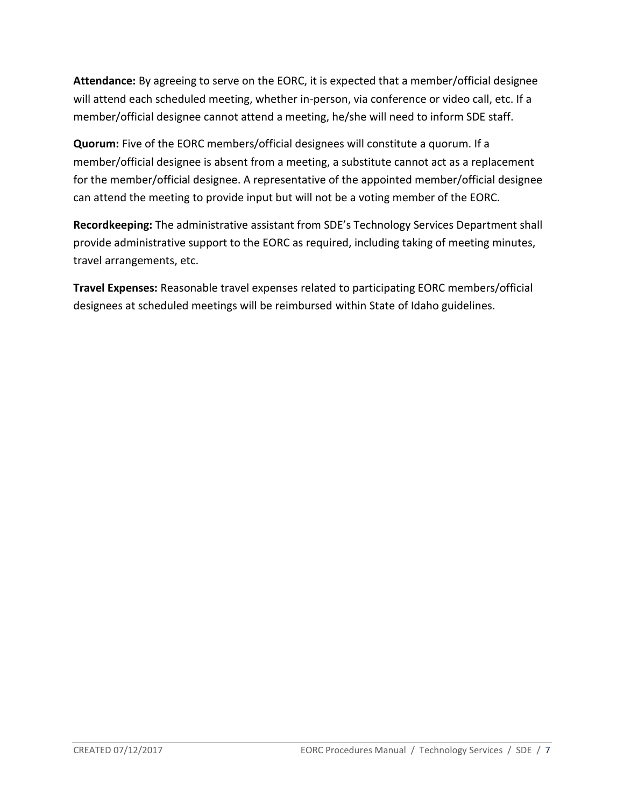**Attendance:** By agreeing to serve on the EORC, it is expected that a member/official designee will attend each scheduled meeting, whether in-person, via conference or video call, etc. If a member/official designee cannot attend a meeting, he/she will need to inform SDE staff.

**Quorum:** Five of the EORC members/official designees will constitute a quorum. If a member/official designee is absent from a meeting, a substitute cannot act as a replacement for the member/official designee. A representative of the appointed member/official designee can attend the meeting to provide input but will not be a voting member of the EORC.

**Recordkeeping:** The administrative assistant from SDE's Technology Services Department shall provide administrative support to the EORC as required, including taking of meeting minutes, travel arrangements, etc.

**Travel Expenses:** Reasonable travel expenses related to participating EORC members/official designees at scheduled meetings will be reimbursed within State of Idaho guidelines.